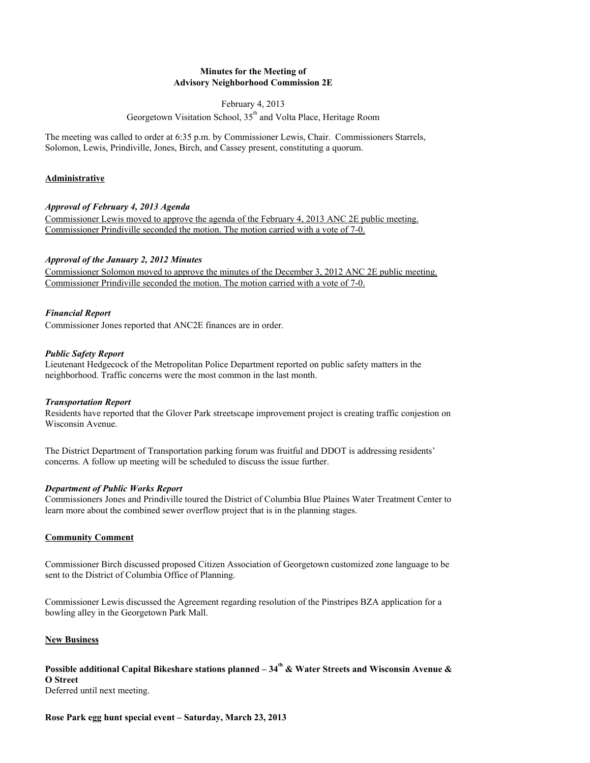### **Minutes for the Meeting of Advisory Neighborhood Commission 2E**

#### February 4, 2013

Georgetown Visitation School, 35<sup>th</sup> and Volta Place, Heritage Room

The meeting was called to order at 6:35 p.m. by Commissioner Lewis, Chair. Commissioners Starrels, Solomon, Lewis, Prindiville, Jones, Birch, and Cassey present, constituting a quorum.

# **Administrative**

# *Approval of February 4, 2013 Agenda*

Commissioner Lewis moved to approve the agenda of the February 4, 2013 ANC 2E public meeting. Commissioner Prindiville seconded the motion. The motion carried with a vote of 7-0.

# *Approval of the January 2, 2012 Minutes*

Commissioner Solomon moved to approve the minutes of the December 3, 2012 ANC 2E public meeting. Commissioner Prindiville seconded the motion. The motion carried with a vote of 7-0.

## *Financial Report*

Commissioner Jones reported that ANC2E finances are in order.

### *Public Safety Report*

Lieutenant Hedgecock of the Metropolitan Police Department reported on public safety matters in the neighborhood. Traffic concerns were the most common in the last month.

## *Transportation Report*

Residents have reported that the Glover Park streetscape improvement project is creating traffic conjestion on Wisconsin Avenue.

The District Department of Transportation parking forum was fruitful and DDOT is addressing residents' concerns. A follow up meeting will be scheduled to discuss the issue further.

## *Department of Public Works Report*

Commissioners Jones and Prindiville toured the District of Columbia Blue Plaines Water Treatment Center to learn more about the combined sewer overflow project that is in the planning stages.

## **Community Comment**

Commissioner Birch discussed proposed Citizen Association of Georgetown customized zone language to be sent to the District of Columbia Office of Planning.

Commissioner Lewis discussed the Agreement regarding resolution of the Pinstripes BZA application for a bowling alley in the Georgetown Park Mall.

## **New Business**

## **Possible additional Capital Bikeshare stations planned – 34<sup>th</sup> & Water Streets and Wisconsin Avenue & O Street**

Deferred until next meeting.

**Rose Park egg hunt special event – Saturday, March 23, 2013**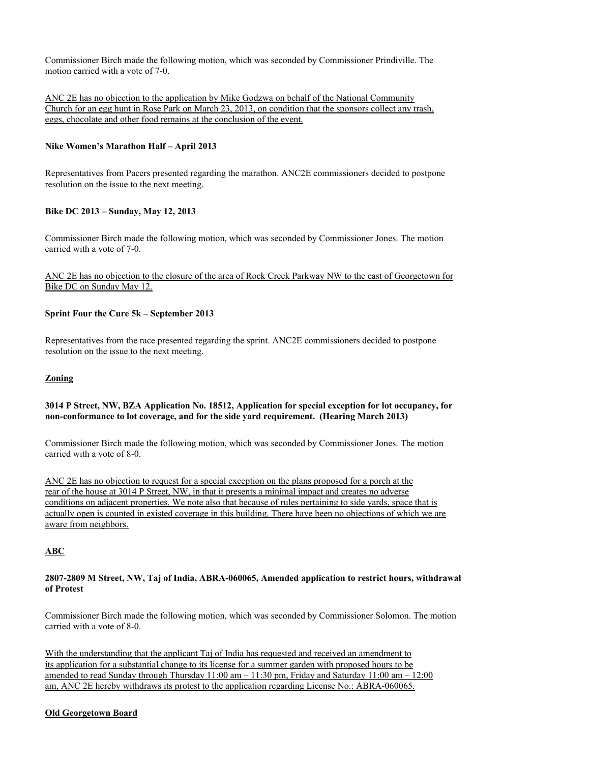Commissioner Birch made the following motion, which was seconded by Commissioner Prindiville. The motion carried with a vote of 7-0.

ANC 2E has no objection to the application by Mike Godzwa on behalf of the National Community Church for an egg hunt in Rose Park on March 23, 2013, on condition that the sponsors collect any trash, eggs, chocolate and other food remains at the conclusion of the event.

### **Nike Women's Marathon Half – April 2013**

Representatives from Pacers presented regarding the marathon. ANC2E commissioners decided to postpone resolution on the issue to the next meeting.

### **Bike DC 2013 – Sunday, May 12, 2013**

Commissioner Birch made the following motion, which was seconded by Commissioner Jones. The motion carried with a vote of 7-0.

### ANC 2E has no objection to the closure of the area of Rock Creek Parkway NW to the east of Georgetown for Bike DC on Sunday May 12.

### **Sprint Four the Cure 5k – September 2013**

Representatives from the race presented regarding the sprint. ANC2E commissioners decided to postpone resolution on the issue to the next meeting.

#### **Zoning**

### **3014 P Street, NW, BZA Application No. 18512, Application for special exception for lot occupancy, for non-conformance to lot coverage, and for the side yard requirement. (Hearing March 2013)**

Commissioner Birch made the following motion, which was seconded by Commissioner Jones. The motion carried with a vote of 8-0.

ANC 2E has no objection to request for a special exception on the plans proposed for a porch at the rear of the house at 3014 P Street, NW, in that it presents a minimal impact and creates no adverse conditions on adjacent properties. We note also that because of rules pertaining to side yards, space that is actually open is counted in existed coverage in this building. There have been no objections of which we are aware from neighbors.

## **ABC**

### **2807-2809 M Street, NW, Taj of India, ABRA-060065, Amended application to restrict hours, withdrawal of Protest**

Commissioner Birch made the following motion, which was seconded by Commissioner Solomon. The motion carried with a vote of 8-0.

With the understanding that the applicant Taj of India has requested and received an amendment to its application for a substantial change to its license for a summer garden with proposed hours to be amended to read Sunday through Thursday  $11:00$  am  $-11:30$  pm, Friday and Saturday  $11:00$  am  $-12:00$ am, ANC 2E hereby withdraws its protest to the application regarding License No.: ABRA-060065.

#### **Old Georgetown Board**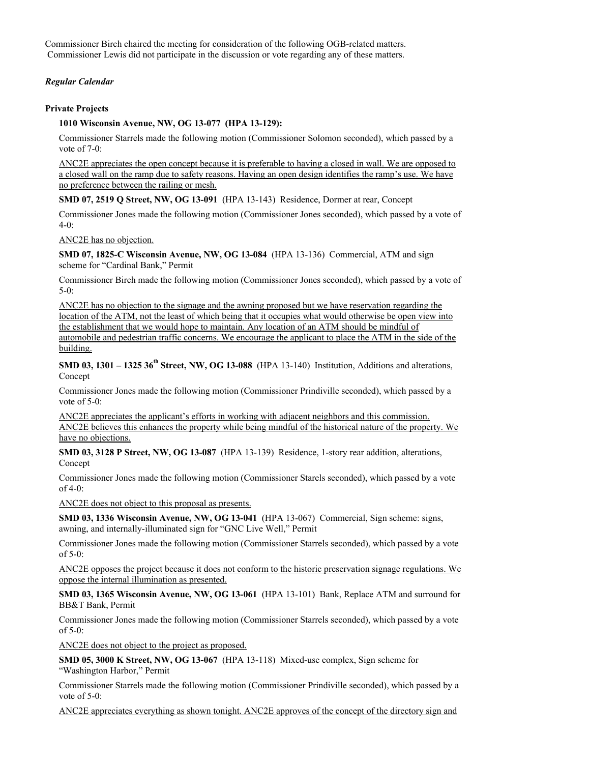Commissioner Birch chaired the meeting for consideration of the following OGB-related matters. Commissioner Lewis did not participate in the discussion or vote regarding any of these matters.

### *Regular Calendar*

#### **Private Projects**

### **1010 Wisconsin Avenue, NW, OG 13-077 (HPA 13-129):**

Commissioner Starrels made the following motion (Commissioner Solomon seconded), which passed by a vote of 7-0:

ANC2E appreciates the open concept because it is preferable to having a closed in wall. We are opposed to a closed wall on the ramp due to safety reasons. Having an open design identifies the ramp's use. We have no preference between the railing or mesh.

**SMD 07, 2519 Q Street, NW, OG 13-091** (HPA 13-143) Residence, Dormer at rear, Concept

Commissioner Jones made the following motion (Commissioner Jones seconded), which passed by a vote of 4-0:

ANC2E has no objection.

**SMD 07, 1825-C Wisconsin Avenue, NW, OG 13-084** (HPA 13-136) Commercial, ATM and sign scheme for "Cardinal Bank," Permit

Commissioner Birch made the following motion (Commissioner Jones seconded), which passed by a vote of 5-0:

ANC2E has no objection to the signage and the awning proposed but we have reservation regarding the location of the ATM, not the least of which being that it occupies what would otherwise be open view into the establishment that we would hope to maintain. Any location of an ATM should be mindful of automobile and pedestrian traffic concerns. We encourage the applicant to place the ATM in the side of the building.

**SMD 03, 1301 – 1325 36<sup>th</sup> Street, NW, OG 13-088** (HPA 13-140) Institution, Additions and alterations, Concept

Commissioner Jones made the following motion (Commissioner Prindiville seconded), which passed by a vote of 5-0:

ANC2E appreciates the applicant's efforts in working with adjacent neighbors and this commission. ANC2E believes this enhances the property while being mindful of the historical nature of the property. We have no objections.

**SMD 03, 3128 P Street, NW, OG 13-087** (HPA 13-139) Residence, 1-story rear addition, alterations, Concept

Commissioner Jones made the following motion (Commissioner Starels seconded), which passed by a vote of 4-0:

ANC2E does not object to this proposal as presents.

**SMD 03, 1336 Wisconsin Avenue, NW, OG 13-041** (HPA 13-067) Commercial, Sign scheme: signs, awning, and internally-illuminated sign for "GNC Live Well," Permit

Commissioner Jones made the following motion (Commissioner Starrels seconded), which passed by a vote of 5-0:

ANC2E opposes the project because it does not conform to the historic preservation signage regulations. We oppose the internal illumination as presented.

**SMD 03, 1365 Wisconsin Avenue, NW, OG 13-061** (HPA 13-101) Bank, Replace ATM and surround for BB&T Bank, Permit

Commissioner Jones made the following motion (Commissioner Starrels seconded), which passed by a vote of 5-0:

ANC2E does not object to the project as proposed.

**SMD 05, 3000 K Street, NW, OG 13-067** (HPA 13-118) Mixed-use complex, Sign scheme for "Washington Harbor," Permit

Commissioner Starrels made the following motion (Commissioner Prindiville seconded), which passed by a vote of 5-0:

ANC2E appreciates everything as shown tonight. ANC2E approves of the concept of the directory sign and